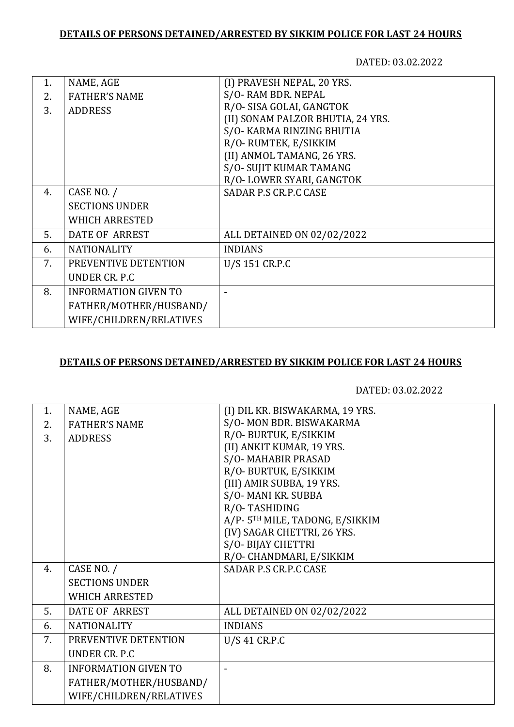## **DETAILS OF PERSONS DETAINED/ARRESTED BY SIKKIM POLICE FOR LAST 24 HOURS**

DATED: 03.02.2022

| 1. | NAME, AGE                   | (I) PRAVESH NEPAL, 20 YRS.        |
|----|-----------------------------|-----------------------------------|
| 2. | <b>FATHER'S NAME</b>        | S/O-RAM BDR. NEPAL                |
| 3. | <b>ADDRESS</b>              | R/O- SISA GOLAI, GANGTOK          |
|    |                             | (II) SONAM PALZOR BHUTIA, 24 YRS. |
|    |                             | S/O- KARMA RINZING BHUTIA         |
|    |                             | R/O-RUMTEK, E/SIKKIM              |
|    |                             | (II) ANMOL TAMANG, 26 YRS.        |
|    |                             | S/O- SUJIT KUMAR TAMANG           |
|    |                             | R/O-LOWER SYARI, GANGTOK          |
| 4. | CASE NO. /                  | SADAR P.S CR.P.C CASE             |
|    | <b>SECTIONS UNDER</b>       |                                   |
|    | <b>WHICH ARRESTED</b>       |                                   |
| 5. | DATE OF ARREST              | ALL DETAINED ON 02/02/2022        |
| 6. | <b>NATIONALITY</b>          | <b>INDIANS</b>                    |
| 7. | PREVENTIVE DETENTION        | U/S 151 CR.P.C                    |
|    | UNDER CR. P.C               |                                   |
| 8. | <b>INFORMATION GIVEN TO</b> |                                   |
|    | FATHER/MOTHER/HUSBAND/      |                                   |
|    | WIFE/CHILDREN/RELATIVES     |                                   |
|    |                             |                                   |

## **DETAILS OF PERSONS DETAINED/ARRESTED BY SIKKIM POLICE FOR LAST 24 HOURS**

DATED: 03.02.2022

| 1. | NAME, AGE                   | (I) DIL KR. BISWAKARMA, 19 YRS. |
|----|-----------------------------|---------------------------------|
| 2. | <b>FATHER'S NAME</b>        | S/O-MON BDR. BISWAKARMA         |
| 3. | <b>ADDRESS</b>              | R/O- BURTUK, E/SIKKIM           |
|    |                             | (II) ANKIT KUMAR, 19 YRS.       |
|    |                             | S/O-MAHABIR PRASAD              |
|    |                             | R/O-BURTUK, E/SIKKIM            |
|    |                             | (III) AMIR SUBBA, 19 YRS.       |
|    |                             | S/O-MANI KR. SUBBA              |
|    |                             | R/O-TASHIDING                   |
|    |                             | A/P-5TH MILE, TADONG, E/SIKKIM  |
|    |                             | (IV) SAGAR CHETTRI, 26 YRS.     |
|    |                             | S/O-BIJAY CHETTRI               |
|    |                             | R/O- CHANDMARI, E/SIKKIM        |
| 4. | CASE NO. /                  | SADAR P.S CR.P.C CASE           |
|    | <b>SECTIONS UNDER</b>       |                                 |
|    | <b>WHICH ARRESTED</b>       |                                 |
| 5. | DATE OF ARREST              | ALL DETAINED ON 02/02/2022      |
| 6. | <b>NATIONALITY</b>          | <b>INDIANS</b>                  |
| 7. | PREVENTIVE DETENTION        | U/S 41 CR.P.C                   |
|    | <b>UNDER CR. P.C</b>        |                                 |
| 8. | <b>INFORMATION GIVEN TO</b> |                                 |
|    | FATHER/MOTHER/HUSBAND/      |                                 |
|    | WIFE/CHILDREN/RELATIVES     |                                 |